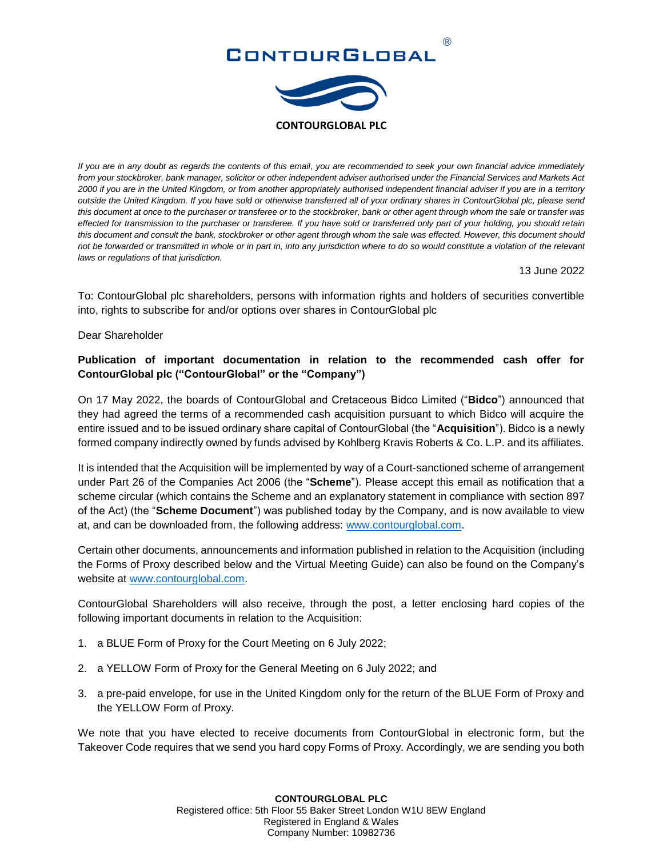# ®



*If you are in any doubt as regards the contents of this email, you are recommended to seek your own financial advice immediately from your stockbroker, bank manager, solicitor or other independent adviser authorised under the Financial Services and Markets Act 2000 if you are in the United Kingdom, or from another appropriately authorised independent financial adviser if you are in a territory outside the United Kingdom. If you have sold or otherwise transferred all of your ordinary shares in ContourGlobal plc, please send this document at once to the purchaser or transferee or to the stockbroker, bank or other agent through whom the sale or transfer was effected for transmission to the purchaser or transferee. If you have sold or transferred only part of your holding, you should retain this document and consult the bank, stockbroker or other agent through whom the sale was effected. However, this document should not be forwarded or transmitted in whole or in part in, into any jurisdiction where to do so would constitute a violation of the relevant laws or regulations of that jurisdiction.*

13 June 2022

To: ContourGlobal plc shareholders, persons with information rights and holders of securities convertible into, rights to subscribe for and/or options over shares in ContourGlobal plc

Dear Shareholder

# **Publication of important documentation in relation to the recommended cash offer for ContourGlobal plc ("ContourGlobal" or the "Company")**

On 17 May 2022, the boards of ContourGlobal and Cretaceous Bidco Limited ("**Bidco**") announced that they had agreed the terms of a recommended cash acquisition pursuant to which Bidco will acquire the entire issued and to be issued ordinary share capital of ContourGlobal (the "**Acquisition**"). Bidco is a newly formed company indirectly owned by funds advised by Kohlberg Kravis Roberts & Co. L.P. and its affiliates.

It is intended that the Acquisition will be implemented by way of a Court-sanctioned scheme of arrangement under Part 26 of the Companies Act 2006 (the "**Scheme**"). Please accept this email as notification that a scheme circular (which contains the Scheme and an explanatory statement in compliance with section 897 of the Act) (the "**Scheme Document**") was published today by the Company, and is now available to view at, and can be downloaded from, the following address: [www.contourglobal.com.](http://www.contourglobal.com/)

Certain other documents, announcements and information published in relation to the Acquisition (including the Forms of Proxy described below and the Virtual Meeting Guide) can also be found on the Company's website at [www.contourglobal.com.](http://www.contourglobal.com/)

ContourGlobal Shareholders will also receive, through the post, a letter enclosing hard copies of the following important documents in relation to the Acquisition:

- 1. a BLUE Form of Proxy for the Court Meeting on 6 July 2022;
- 2. a YELLOW Form of Proxy for the General Meeting on 6 July 2022; and
- 3. a pre-paid envelope, for use in the United Kingdom only for the return of the BLUE Form of Proxy and the YELLOW Form of Proxy.

We note that you have elected to receive documents from ContourGlobal in electronic form, but the Takeover Code requires that we send you hard copy Forms of Proxy. Accordingly, we are sending you both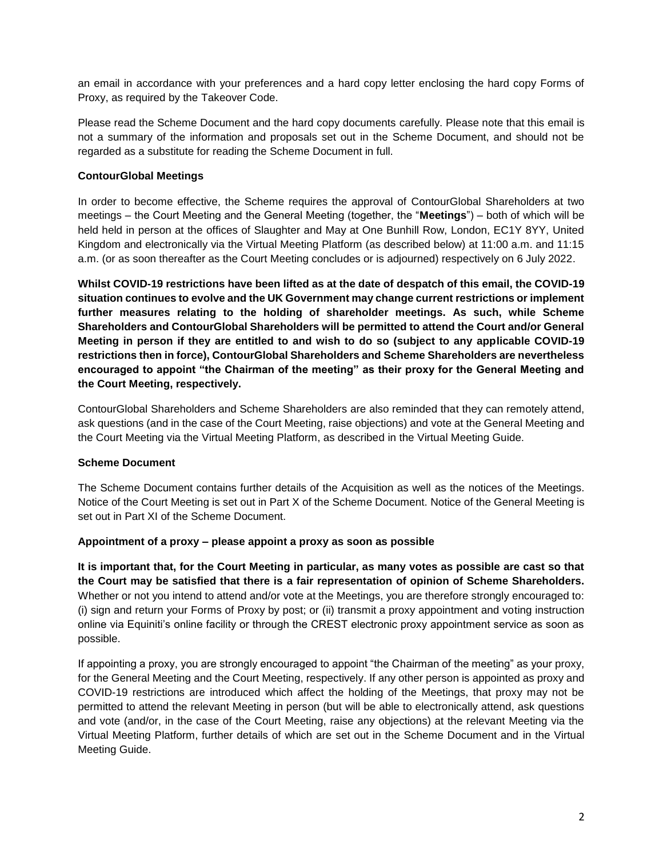an email in accordance with your preferences and a hard copy letter enclosing the hard copy Forms of Proxy, as required by the Takeover Code.

Please read the Scheme Document and the hard copy documents carefully. Please note that this email is not a summary of the information and proposals set out in the Scheme Document, and should not be regarded as a substitute for reading the Scheme Document in full.

## **ContourGlobal Meetings**

In order to become effective, the Scheme requires the approval of ContourGlobal Shareholders at two meetings – the Court Meeting and the General Meeting (together, the "**Meetings**") – both of which will be held held in person at the offices of Slaughter and May at One Bunhill Row, London, EC1Y 8YY, United Kingdom and electronically via the Virtual Meeting Platform (as described below) at 11:00 a.m. and 11:15 a.m. (or as soon thereafter as the Court Meeting concludes or is adjourned) respectively on 6 July 2022.

**Whilst COVID-19 restrictions have been lifted as at the date of despatch of this email, the COVID-19 situation continues to evolve and the UK Government may change current restrictions or implement further measures relating to the holding of shareholder meetings. As such, while Scheme Shareholders and ContourGlobal Shareholders will be permitted to attend the Court and/or General Meeting in person if they are entitled to and wish to do so (subject to any applicable COVID-19 restrictions then in force), ContourGlobal Shareholders and Scheme Shareholders are nevertheless encouraged to appoint "the Chairman of the meeting" as their proxy for the General Meeting and the Court Meeting, respectively.**

ContourGlobal Shareholders and Scheme Shareholders are also reminded that they can remotely attend, ask questions (and in the case of the Court Meeting, raise objections) and vote at the General Meeting and the Court Meeting via the Virtual Meeting Platform, as described in the Virtual Meeting Guide.

## **Scheme Document**

The Scheme Document contains further details of the Acquisition as well as the notices of the Meetings. Notice of the Court Meeting is set out in Part X of the Scheme Document. Notice of the General Meeting is set out in Part XI of the Scheme Document.

## **Appointment of a proxy – please appoint a proxy as soon as possible**

**It is important that, for the Court Meeting in particular, as many votes as possible are cast so that the Court may be satisfied that there is a fair representation of opinion of Scheme Shareholders.** Whether or not you intend to attend and/or vote at the Meetings, you are therefore strongly encouraged to: (i) sign and return your Forms of Proxy by post; or (ii) transmit a proxy appointment and voting instruction online via Equiniti's online facility or through the CREST electronic proxy appointment service as soon as possible.

If appointing a proxy, you are strongly encouraged to appoint "the Chairman of the meeting" as your proxy, for the General Meeting and the Court Meeting, respectively. If any other person is appointed as proxy and COVID-19 restrictions are introduced which affect the holding of the Meetings, that proxy may not be permitted to attend the relevant Meeting in person (but will be able to electronically attend, ask questions and vote (and/or, in the case of the Court Meeting, raise any objections) at the relevant Meeting via the Virtual Meeting Platform, further details of which are set out in the Scheme Document and in the Virtual Meeting Guide.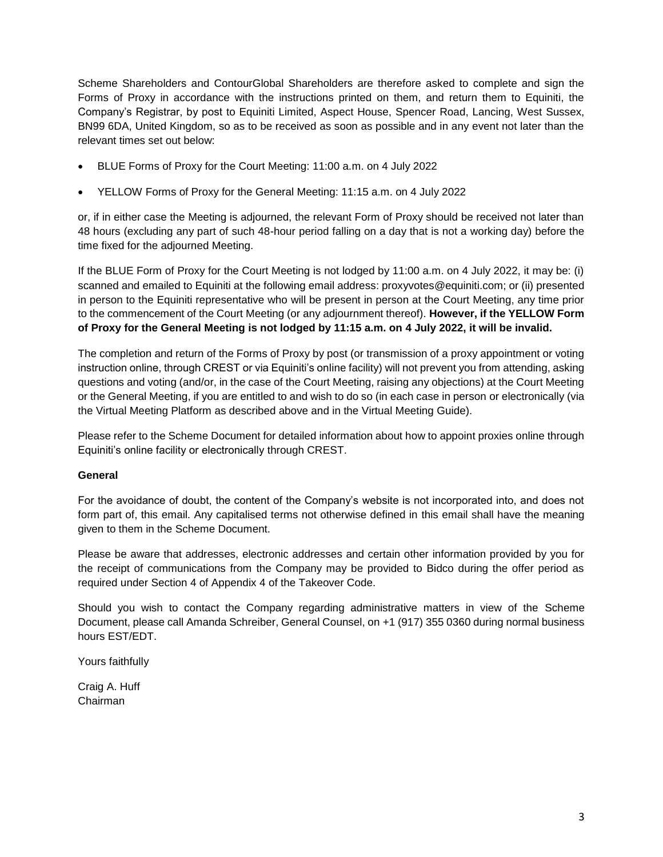Scheme Shareholders and ContourGlobal Shareholders are therefore asked to complete and sign the Forms of Proxy in accordance with the instructions printed on them, and return them to Equiniti, the Company's Registrar, by post to Equiniti Limited, Aspect House, Spencer Road, Lancing, West Sussex, BN99 6DA, United Kingdom, so as to be received as soon as possible and in any event not later than the relevant times set out below:

- BLUE Forms of Proxy for the Court Meeting: 11:00 a.m. on 4 July 2022
- YELLOW Forms of Proxy for the General Meeting: 11:15 a.m. on 4 July 2022

or, if in either case the Meeting is adjourned, the relevant Form of Proxy should be received not later than 48 hours (excluding any part of such 48-hour period falling on a day that is not a working day) before the time fixed for the adjourned Meeting.

If the BLUE Form of Proxy for the Court Meeting is not lodged by 11:00 a.m. on 4 July 2022, it may be: (i) scanned and emailed to Equiniti at the following email address: proxyvotes@equiniti.com; or (ii) presented in person to the Equiniti representative who will be present in person at the Court Meeting, any time prior to the commencement of the Court Meeting (or any adjournment thereof). **However, if the YELLOW Form of Proxy for the General Meeting is not lodged by 11:15 a.m. on 4 July 2022, it will be invalid.**

The completion and return of the Forms of Proxy by post (or transmission of a proxy appointment or voting instruction online, through CREST or via Equiniti's online facility) will not prevent you from attending, asking questions and voting (and/or, in the case of the Court Meeting, raising any objections) at the Court Meeting or the General Meeting, if you are entitled to and wish to do so (in each case in person or electronically (via the Virtual Meeting Platform as described above and in the Virtual Meeting Guide).

Please refer to the Scheme Document for detailed information about how to appoint proxies online through Equiniti's online facility or electronically through CREST.

## **General**

For the avoidance of doubt, the content of the Company's website is not incorporated into, and does not form part of, this email. Any capitalised terms not otherwise defined in this email shall have the meaning given to them in the Scheme Document.

Please be aware that addresses, electronic addresses and certain other information provided by you for the receipt of communications from the Company may be provided to Bidco during the offer period as required under Section 4 of Appendix 4 of the Takeover Code.

Should you wish to contact the Company regarding administrative matters in view of the Scheme Document, please call Amanda Schreiber, General Counsel, on +1 (917) 355 0360 during normal business hours EST/EDT.

Yours faithfully

Craig A. Huff Chairman